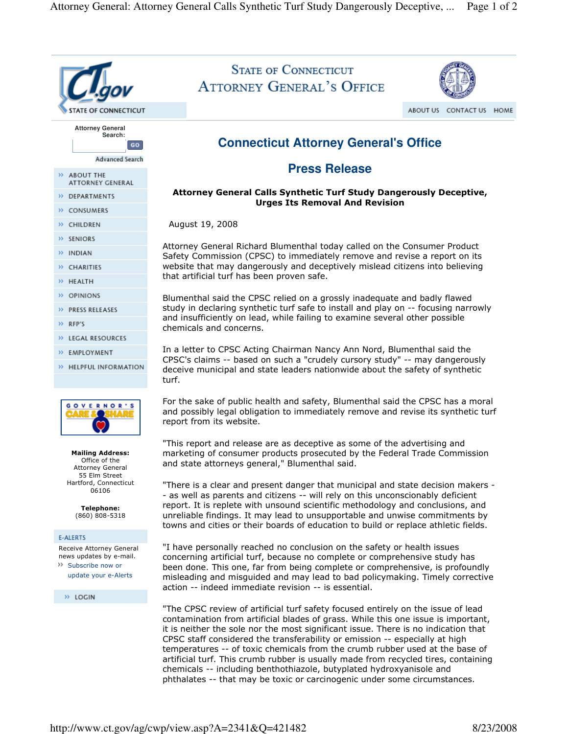